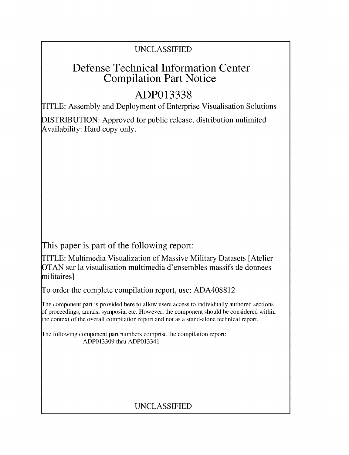## UNCLASSIFIED

## Defense Technical Information Center Compilation Part Notice

# **ADP013338**

TITLE: Assembly and Deployment of Enterprise Visualisation Solutions

DISTRIBUTION: Approved for public release, distribution unlimited Availability: Hard copy only.

This paper is part of the following report:

TITLE: Multimedia Visualization of Massive Military Datasets [Atelier OTAN sur la visualisation multimedia d'ensembles massifs de donnees militaires]

To order the complete compilation report, use: ADA408812

The component part is provided here to allow users access to individually authored sections **)f** proceedings, annals, symposia, etc. However, the component should be considered within [he context of the overall compilation report and not as a stand-alone technical report.

The following component part numbers comprise the compilation report: ADP013309 thru ADP013341

## UNCLASSIFIED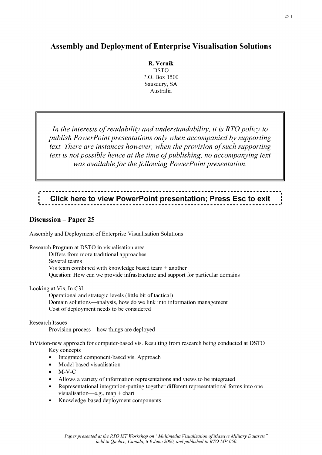#### Assembly and Deployment of Enterprise Visualisation Solutions

R. Vernik DSTO P.O. Box 1500 Sausdury, SA Australia

*In the interests of readability and understandability, it is R TO policy to publish PowerPoint presentations only when accompanied by supporting text. There are instances however, when the provision of such supporting text is not possible hence at the time of publishing, no accompanying text was available for the following PowerPoint presentation.*

# Click here to view PowerPoint presentation; Press Esc to exit

#### Discussion - Paper 25

Assembly and Deployment of Enterprise Visualisation Solutions

Research Program at DSTO in visualisation area

Differs from more traditional approaches

Several teams Vis team combined with knowledge based team + another Question: How can we provide infrastructure and support for particular domains

Looking at Vis. In **C31**

Operational and strategic levels (little bit of tactical) Domain solutions-analysis, how do we link into information management Cost of deployment needs to be considered

Research Issues

Provision process-how things are deployed

InVision-new approach for computer-based vis. Resulting from research being conducted at DSTO Key concepts

- Integrated component-based vis. Approach
- Model based visualisation
- $M-V-C$
- Allows a variety of information representations and views to be integrated
- Representational integration-putting together different representational forms into one visualisation—e.g., map  $+$  chart
- Knowledge-based deployment components